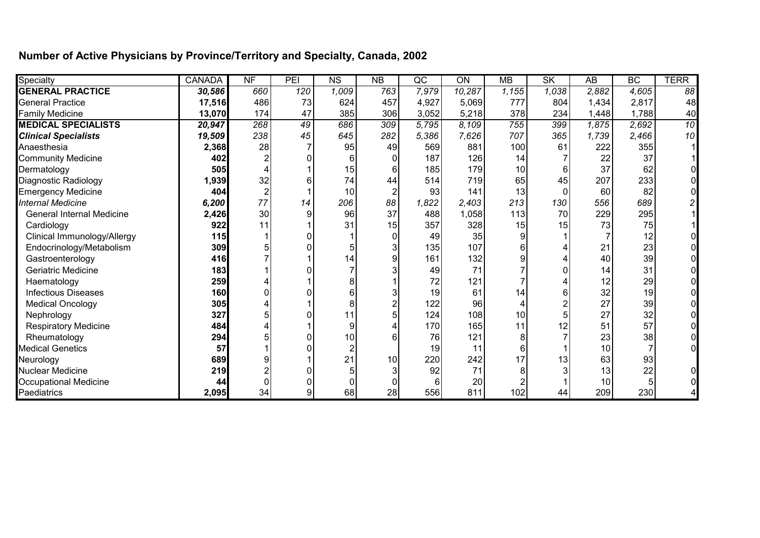## **Number of Active Physicians by Province/Territory and Specialty, Canada, 2002**

| Specialty                        | <b>CANADA</b> | NF              | PEI | $\overline{\text{NS}}$ | NB  | $\overline{\text{QC}}$ | ON     | <b>MB</b> | SK    | $\overline{AB}$ | BC    | <b>TERR</b> |
|----------------------------------|---------------|-----------------|-----|------------------------|-----|------------------------|--------|-----------|-------|-----------------|-------|-------------|
| <b>GENERAL PRACTICE</b>          | 30,586        | 660             | 120 | 1,009                  | 763 | 7,979                  | 10,287 | 1,155     | 1,038 | 2,882           | 4,605 | 88          |
| <b>General Practice</b>          | 17,516        | 486             | 73  | 624                    | 457 | 4,927                  | 5,069  | 777       | 804   | 1,434           | 2,817 | 48          |
| <b>Family Medicine</b>           | 13,070        | 174             | 47  | 385                    | 306 | 3,052                  | 5,218  | 378       | 234   | 1,448           | 1,788 | 40          |
| <b>MEDICAL SPECIALISTS</b>       | 20,947        | 268             | 49  | 686                    | 309 | 5,795                  | 8,109  | 755       | 399   | 1,875           | 2,692 | 10          |
| <b>Clinical Specialists</b>      | 19,509        | 238             | 45  | 645                    | 282 | 5,386                  | 7,626  | 707       | 365   | 1,739           | 2,466 | 10          |
| Anaesthesia                      | 2,368         | 28              |     | 95                     | 49  | 569                    | 881    | 100       | 61    | 222             | 355   |             |
| <b>Community Medicine</b>        | 402           |                 |     |                        |     | 187                    | 126    | 14        |       | 22              | 37    |             |
| Dermatology                      | 505           |                 |     | 15                     |     | 185                    | 179    | 10        | 6     | 37              | 62    |             |
| <b>Diagnostic Radiology</b>      | 1,939         | 32              |     | 74                     | 44  | 514                    | 719    | 65        | 45    | 207             | 233   |             |
| <b>Emergency Medicine</b>        | 404           |                 |     | 10                     |     | 93                     | 141    | 13        |       | 60              | 82    |             |
| <b>Internal Medicine</b>         | 6,200         | 77              | 14  | 206                    | 88  | 1,822                  | 2,403  | 213       | 130   | 556             | 689   |             |
| <b>General Internal Medicine</b> | 2,426         | 30 <sub>0</sub> | 9   | 96                     | 37  | 488                    | 1,058  | 113       | 70    | 229             | 295   |             |
| Cardiology                       | 922           | 11              |     | 31                     | 15  | 357                    | 328    | 15        | 15    | 73              | 75    |             |
| Clinical Immunology/Allergy      | 115           |                 |     |                        |     | 49                     | 35     |           |       |                 | 12    |             |
| Endocrinology/Metabolism         | 309           |                 |     |                        |     | 135                    | 107    |           |       | 21              | 23    |             |
| Gastroenterology                 | 416           |                 |     | 14                     |     | 161                    | 132    |           |       | 40              | 39    |             |
| <b>Geriatric Medicine</b>        | 183           |                 |     |                        |     | 49                     | 71     |           |       | 14              | 31    |             |
| Haematology                      | 259           |                 |     |                        |     | 72                     | 121    |           |       | 12              | 29    |             |
| <b>Infectious Diseases</b>       | 160           |                 |     |                        |     | 19                     | 61     | 14        | 6     | 32              | 19    |             |
| <b>Medical Oncology</b>          | 305           |                 |     |                        |     | 122                    | 96     |           |       | 27              | 39    |             |
| Nephrology                       | 327           |                 |     | 11                     |     | 124                    | 108    | 10        |       | 27              | 32    |             |
| <b>Respiratory Medicine</b>      | 484           |                 |     | 9                      |     | 170                    | 165    | 11        | 12    | 51              | 57    |             |
| Rheumatology                     | 294           |                 |     | 10                     |     | 76                     | 121    |           |       | 23              | 38    |             |
| <b>Medical Genetics</b>          | 57            |                 |     |                        |     | 19                     | 11     |           |       | 10              |       |             |
| Neurology                        | 689           |                 |     | 21                     | 10  | 220                    | 242    | 17        | 13    | 63              | 93    |             |
| <b>Nuclear Medicine</b>          | 219           |                 |     |                        |     | 92                     | 71     |           |       | 13              | 22    |             |
| <b>Occupational Medicine</b>     | 44            |                 |     |                        |     | 6                      | 20     |           |       | 10              |       |             |
| Paediatrics                      | 2,095         | 34              | 9   | 68                     | 28  | 556                    | 811    | 102       | 44    | 209             | 230   |             |